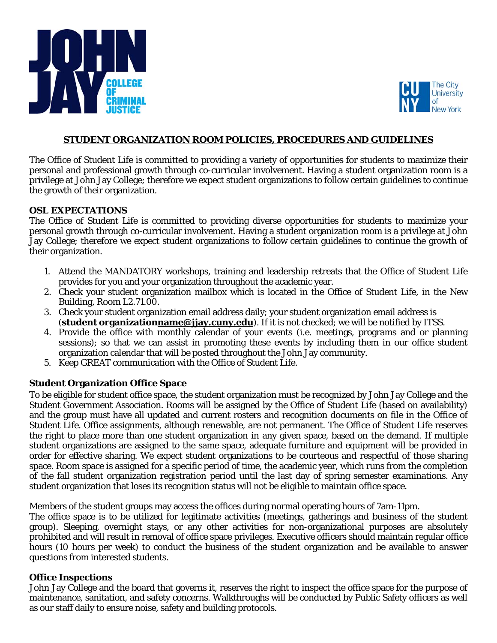



### **STUDENT ORGANIZATION ROOM POLICIES, PROCEDURES AND GUIDELINES**

The Office of Student Life is committed to providing a variety of opportunities for students to maximize their personal and professional growth through co-curricular involvement. Having a student organization room is a privilege at John Jay College; therefore we expect student organizations to follow certain guidelines to continue the growth of their organization.

### **OSL EXPECTATIONS**

The Office of Student Life is committed to providing diverse opportunities for students to maximize your personal growth through co-curricular involvement. Having a student organization room is a privilege at John Jay College; therefore we expect student organizations to follow certain guidelines to continue the growth of their organization.

- 1. Attend the MANDATORY workshops, training and leadership retreats that the Office of Student Life provides for you and your organization throughout the academic year.
- 2. Check your student organization mailbox which is located in the Office of Student Life, in the New Building, Room L2.71.00.
- 3. Check your student organization email address daily; your student organization email address is (**student organizationname@jjay.cuny.edu**). If it is not checked; we will be notified by ITSS.
- 4. Provide the office with monthly calendar of your events (i.e. meetings, programs and or planning sessions); so that we can assist in promoting these events by including them in our office student organization calendar that will be posted throughout the John Jay community.
- 5. Keep GREAT communication with the Office of Student Life.

### **Student Organization Office Space**

To be eligible for student office space, the student organization must be recognized by John Jay College and the Student Government Association. Rooms will be assigned by the Office of Student Life (based on availability) and the group must have all updated and current rosters and recognition documents on file in the Office of Student Life. Office assignments, although renewable, are not permanent. The Office of Student Life reserves the right to place more than one student organization in any given space, based on the demand. If multiple student organizations are assigned to the same space, adequate furniture and equipment will be provided in order for effective sharing. We expect student organizations to be courteous and respectful of those sharing space. Room space is assigned for a specific period of time, the academic year, which runs from the completion of the fall student organization registration period until the last day of spring semester examinations. Any student organization that loses its recognition status will not be eligible to maintain office space.

Members of the student groups may access the offices during normal operating hours of 7am-11pm.

The office space is to be utilized for legitimate activities (meetings, gatherings and business of the student group). Sleeping, overnight stays, or any other activities for non-organizational purposes are absolutely prohibited and will result in removal of office space privileges. Executive officers should maintain regular office hours (10 hours per week) to conduct the business of the student organization and be available to answer questions from interested students.

#### **Office Inspections**

John Jay College and the board that governs it, reserves the right to inspect the office space for the purpose of maintenance, sanitation, and safety concerns. Walkthroughs will be conducted by Public Safety officers as well as our staff daily to ensure noise, safety and building protocols.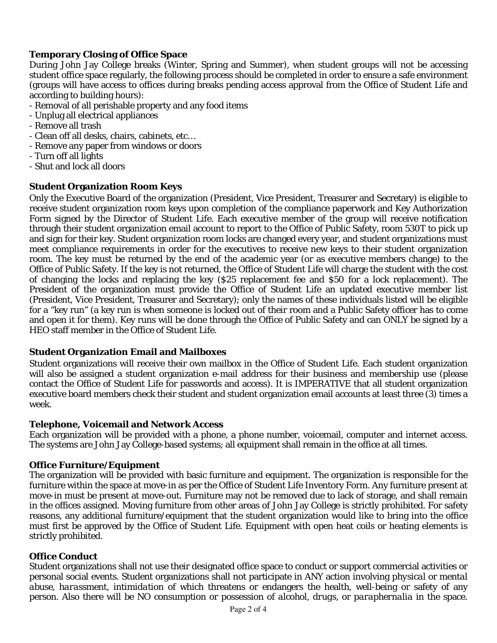# **Temporary Closing of Office Space**

During John Jay College breaks (Winter, Spring and Summer), when student groups will not be accessing student office space regularly, the following process should be completed in order to ensure a safe environment (groups will have access to offices during breaks pending access approval from the Office of Student Life and according to building hours):

- Removal of all perishable property and any food items
- Unplug all electrical appliances
- Remove all trash
- Clean off all desks, chairs, cabinets, etc…
- Remove any paper from windows or doors
- Turn off all lights
- Shut and lock all doors

# **Student Organization Room Keys**

Only the Executive Board of the organization (President, Vice President, Treasurer and Secretary) is eligible to receive student organization room keys upon completion of the compliance paperwork and Key Authorization Form signed by the Director of Student Life. Each executive member of the group will receive notification through their student organization email account to report to the Office of Public Safety, room 530T to pick up and sign for their key. Student organization room locks are changed every year, and student organizations must meet compliance requirements in order for the executives to receive new keys to their student organization room. The key must be returned by the end of the academic year (or as executive members change) to the Office of Public Safety. If the key is not returned, the Office of Student Life will charge the student with the cost of changing the locks and replacing the key (\$25 replacement fee and \$50 for a lock replacement). The President of the organization must provide the Office of Student Life an updated executive member list (President, Vice President, Treasurer and Secretary); only the names of these individuals listed will be eligible for a "key run" (a key run is when someone is locked out of their room and a Public Safety officer has to come and open it for them). Key runs will be done through the Office of Public Safety and can ONLY be signed by a HEO staff member in the Office of Student Life.

# **Student Organization Email and Mailboxes**

Student organizations will receive their own mailbox in the Office of Student Life. Each student organization will also be assigned a student organization e-mail address for their business and membership use (please contact the Office of Student Life for passwords and access). It is IMPERATIVE that all student organization executive board members check their student and student organization email accounts at least three (3) times a week.

### **Telephone, Voicemail and Network Access**

Each organization will be provided with a phone, a phone number, voicemail, computer and internet access. The systems are John Jay College-based systems; all equipment shall remain in the office at all times.

### **Office Furniture/Equipment**

The organization will be provided with basic furniture and equipment. The organization is responsible for the furniture within the space at move-in as per the Office of Student Life Inventory Form. Any furniture present at move-in must be present at move-out. Furniture may not be removed due to lack of storage, and shall remain in the offices assigned. Moving furniture from other areas of John Jay College is strictly prohibited. For safety reasons, any additional furniture/equipment that the student organization would like to bring into the office must first be approved by the Office of Student Life. Equipment with open heat coils or heating elements is strictly prohibited.

# **Office Conduct**

Student organizations shall not use their designated office space to conduct or support commercial activities or personal social events. Student organizations shall not participate in ANY action involving *physical* or *mental abuse*, *harassment*, *intimidation* of which threatens or endangers the health, well-being or safety of any person. Also there will be NO consumption or possession of *alcohol*, *drugs*, or *paraphernalia* in the space.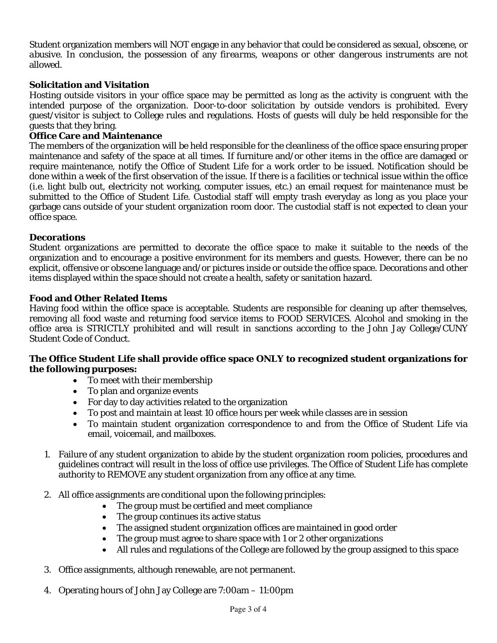Student organization members will NOT engage in any behavior that could be considered as *sexual*, *obscene*, or *abusive*. In conclusion, the possession of any *firearms*, *weapons* or *other dangerous instruments* are not allowed.

# **Solicitation and Visitation**

Hosting outside visitors in your office space may be permitted as long as the activity is congruent with the intended purpose of the organization. Door-to-door solicitation by outside vendors is prohibited. Every guest/visitor is subject to College rules and regulations. Hosts of guests will duly be held responsible for the guests that they bring.

### **Office Care and Maintenance**

The members of the organization will be held responsible for the cleanliness of the office space ensuring proper maintenance and safety of the space at all times. If furniture and/or other items in the office are damaged or require maintenance, notify the Office of Student Life for a work order to be issued. Notification should be done within a week of the first observation of the issue. If there is a facilities or technical issue within the office (i.e. light bulb out, electricity not working, computer issues, etc.) an email request for maintenance must be submitted to the Office of Student Life. Custodial staff will empty trash everyday as long as you place your garbage cans outside of your student organization room door. The custodial staff is not expected to clean your office space.

### **Decorations**

Student organizations are permitted to decorate the office space to make it suitable to the needs of the organization and to encourage a positive environment for its members and guests. However, there can be no explicit, offensive or obscene language and/or pictures inside or outside the office space. Decorations and other items displayed within the space should not create a health, safety or sanitation hazard.

### **Food and Other Related Items**

Having food within the office space is acceptable. Students are responsible for cleaning up after themselves, removing all food waste and returning food service items to FOOD SERVICES. Alcohol and smoking in the office area is STRICTLY prohibited and will result in sanctions according to the John Jay College/CUNY Student Code of Conduct.

# **The Office Student Life shall provide office space ONLY to recognized student organizations for the following purposes:**

- To meet with their membership
- To plan and organize events
- For day to day activities related to the organization
- To post and maintain at least 10 office hours per week while classes are in session
- To maintain student organization correspondence to and from the Office of Student Life via email, voicemail, and mailboxes.
- 1. Failure of any student organization to abide by the student organization room policies, procedures and guidelines contract will result in the loss of office use privileges. The Office of Student Life has complete authority to REMOVE any student organization from any office at any time.
- 2. All office assignments are conditional upon the following principles:
	- The group must be certified and meet compliance
	- The group continues its active status
	- The assigned student organization offices are maintained in good order
	- The group must agree to share space with 1 or 2 other organizations
	- All rules and regulations of the College are followed by the group assigned to this space
- 3. Office assignments, although renewable, are not permanent.
- 4. Operating hours of John Jay College are 7:00am 11:00pm